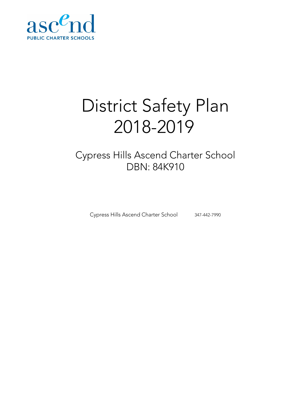

# District Safety Plan 2018-2019

# Cypress Hills Ascend Charter School DBN: 84K910

Cypress Hills Ascend Charter School 347-442-7990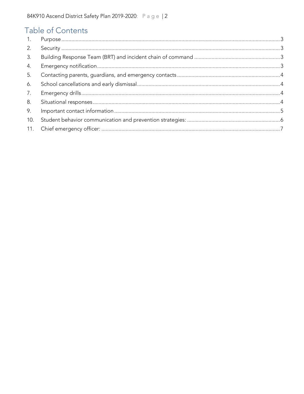## Table of Contents

| 2.  |  |
|-----|--|
| 3.  |  |
| 4.  |  |
| 5.  |  |
| 6.  |  |
| 7.  |  |
| 8.  |  |
| 9.  |  |
| 10. |  |
| 11. |  |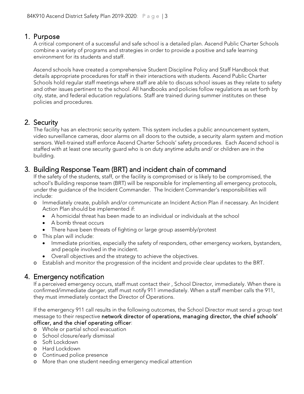<span id="page-2-0"></span>1. Purpose<br>A critical component of a successful and safe school is a detailed plan. Ascend Public Charter Schools combine a variety of programs and strategies in order to provide a positive and safe learning environment for its students and staff.

Ascend schools have created a comprehensive Student Discipline Policy and Staff Handbook that details appropriate procedures for staff in their interactions with students. Ascend Public Charter Schools hold regular staff meetings where staff are able to discuss school issues as they relate to safety and other issues pertinent to the school. All handbooks and policies follow regulations as set forth by city, state, and federal education regulations. Staff are trained during summer institutes on these policies and procedures.

<span id="page-2-1"></span>2. Security<br>The facility has an electronic security system. This system includes a public announcement system, video surveillance cameras, door alarms on all doors to the outside, a security alarm system and motion sensors. Well-trained staff enforce Ascend Charter Schools' safety procedures. Each Ascend school is staffed with at least one security guard who is on duty anytime adults and/ or children are in the building.

# <span id="page-2-2"></span>3. Building Response Team (BRT) and incident chain of command<br>If the safety of the students, staff, or the facility is compromised or is likely to be compromised, the

school's Building response team (BRT) will be responsible for implementing all emergency protocols, under the guidance of the Incident Commander. The Incident Commander's responsibilities will include:

- o Immediately create, publish and/or communicate an Incident Action Plan if necessary. An Incident Action Plan should be implemented if:
	- A homicidal threat has been made to an individual or individuals at the school
	- A bomb threat occurs
	- There have been threats of fighting or large group assembly/protest
- o This plan will include:
	- Immediate priorities, especially the safety of responders, other emergency workers, bystanders, and people involved in the incident.
	- Overall objectives and the strategy to achieve the objectives.
- o Establish and monitor the progression of the incident and provide clear updates to the BRT.

#### <span id="page-2-3"></span>4. Emergency notification

If a perceived emergency occurs, staff must contact their , School Director, immediately. When there is confirmed/immediate danger, staff must notify 911 immediately. When a staff member calls the 911, they must immediately contact the Director of Operations.

If the emergency 911 call results in the following outcomes, the School Director must send a group text message to their respective network director of operations, managing director, the chief schools' officer, and the chief operating officer:

- o Whole or partial school evacuation
- o School closure/early dismissal
- o Soft Lockdown
- o Hard Lockdown
- o Continued police presence
- o More than one student needing emergency medical attention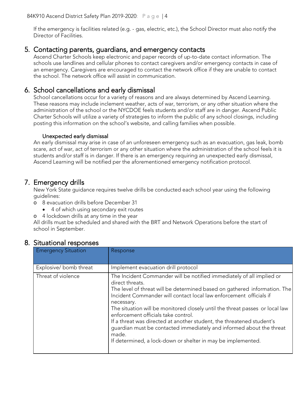If the emergency is facilities related (e.g. - gas, electric, etc.), the School Director must also notify the Director of Facilities.

#### <span id="page-3-0"></span>5. Contacting parents, guardians, and emergency contacts

Ascend Charter Schools keep electronic and paper records of up-to-date contact information. The schools use landlines and cellular phones to contact caregivers and/or emergency contacts in case of an emergency. Caregivers are encouraged to contact the network office if they are unable to contact the school. The network office will assist in communication.

### <span id="page-3-1"></span>6. School cancellations and early dismissal

School cancellations occur for a variety of reasons and are always determined by Ascend Learning. These reasons may include inclement weather, acts of war, terrorism, or any other situation where the administration of the school or the NYCDOE feels students and/or staff are in danger. Ascend Public Charter Schools will utilize a variety of strategies to inform the public of any school closings, including posting this information on the school's website, and calling families when possible.

#### Unexpected early dismissal

An early dismissal may arise in case of an unforeseen emergency such as an evacuation, gas leak, bomb scare, act of war, act of terrorism or any other situation where the administration of the school feels it is students and/or staff is in danger. If there is an emergency requiring an unexpected early dismissal, Ascend Learning will be notified per the aforementioned emergency notification protocol.

<span id="page-3-2"></span>7. Emergency drills<br>New York State guidance requires twelve drills be conducted each school year using the following guidelines:

- o 8 evacuation drills before December 31
	- 4 of which using secondary exit routes
- o 4 lockdown drills at any time in the year

All drills must be scheduled and shared with the BRT and Network Operations before the start of school in September.

| <b>Emergency Situation</b> | Response                                                                                                                                                                                                                                                                                                                                                                                                                                                                                                                                                                                                   |
|----------------------------|------------------------------------------------------------------------------------------------------------------------------------------------------------------------------------------------------------------------------------------------------------------------------------------------------------------------------------------------------------------------------------------------------------------------------------------------------------------------------------------------------------------------------------------------------------------------------------------------------------|
| Explosive/bomb threat      | Implement evacuation drill protocol                                                                                                                                                                                                                                                                                                                                                                                                                                                                                                                                                                        |
| Threat of violence         | The Incident Commander will be notified immediately of all implied or<br>direct threats.<br>The level of threat will be determined based on gathered information. The<br>Incident Commander will contact local law enforcement officials if<br>necessary.<br>The situation will be monitored closely until the threat passes or local law<br>enforcement officials take control.<br>If a threat was directed at another student, the threatened student's<br>guardian must be contacted immediately and informed about the threat<br>made.<br>If determined, a lock-down or shelter in may be implemented. |

#### <span id="page-3-3"></span>8. Situational responses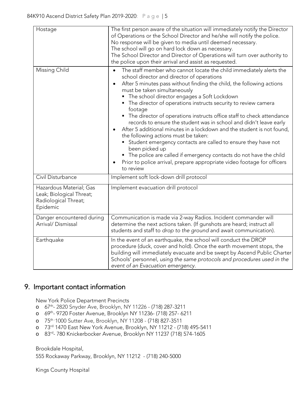| Hostage<br>Missing Child                                                                | The first person aware of the situation will immediately notify the Director<br>of Operations or the School Director and he/she will notify the police.<br>No response will be given to media until deemed necessary.<br>The school will go on hard lock down as necessary.<br>The School Director and Director of Operations will turn over authority to<br>the police upon their arrival and assist as requested.<br>The staff member who cannot locate the child immediately alerts the<br>$\bullet$                                                                                                                                                                                                                                                                                                             |
|-----------------------------------------------------------------------------------------|---------------------------------------------------------------------------------------------------------------------------------------------------------------------------------------------------------------------------------------------------------------------------------------------------------------------------------------------------------------------------------------------------------------------------------------------------------------------------------------------------------------------------------------------------------------------------------------------------------------------------------------------------------------------------------------------------------------------------------------------------------------------------------------------------------------------|
|                                                                                         | school director and director of operations<br>After 5 minutes pass without finding the child, the following actions<br>$\bullet$<br>must be taken simultaneously<br>The school director engages a Soft Lockdown<br>• The director of operations instructs security to review camera<br>footage<br>• The director of operations instructs office staff to check attendance<br>records to ensure the student was in school and didn't leave early<br>After 5 additional minutes in a lockdown and the student is not found,<br>the following actions must be taken:<br>Student emergency contacts are called to ensure they have not<br>been picked up<br>• The police are called if emergency contacts do not have the child<br>Prior to police arrival, prepare appropriate video footage for officers<br>to review |
| Civil Disturbance                                                                       | Implement soft lock-down drill protocol                                                                                                                                                                                                                                                                                                                                                                                                                                                                                                                                                                                                                                                                                                                                                                             |
| Hazardous Material; Gas<br>Leak; Biological Threat;<br>Radiological Threat;<br>Epidemic | Implement evacuation drill protocol                                                                                                                                                                                                                                                                                                                                                                                                                                                                                                                                                                                                                                                                                                                                                                                 |
| Danger encountered during<br>Arrival/Dismissal                                          | Communication is made via 2-way Radios. Incident commander will<br>determine the next actions taken. (If gunshots are heard; instruct all<br>students and staff to drop to the ground and await communication).                                                                                                                                                                                                                                                                                                                                                                                                                                                                                                                                                                                                     |
| Earthquake                                                                              | In the event of an earthquake, the school will conduct the DROP<br>procedure (duck, cover and hold). Once the earth movement stops, the<br>building will immediately evacuate and be swept by Ascend Public Charter<br>Schools' personnel, using the same protocols and procedures used in the<br>event of an Evacuation emergency.                                                                                                                                                                                                                                                                                                                                                                                                                                                                                 |

### <span id="page-4-0"></span>9. Important contact information

New York Police Department Precincts

- o 67th- 2820 Snyder Ave, Brooklyn, NY 11226 [\(718\) 287-3211](https://www.google.com/search?q=67+police+precint&rlz=1C1GCEA_enUS823US823&oq=67+police+precint&aqs=chrome..69i57j0.4215j0j7&sourceid=chrome&ie=UTF-8)
- o 69th- 9720 Foster Avenue, Brooklyn NY 11236- (718) 257- 6211
- o 75th 1000 Sutter Ave, Brooklyn, NY 11208 [\(718\) 827-3511](https://www.google.com/search?q=75th+precintct&rlz=1C1GCEA_enUS823US823&oq=75th+precintct&aqs=chrome..69i57j0l5.2472j0j9&sourceid=chrome&ie=UTF-8)
- o 73rd: 1470 East New York Avenue, Brooklyn, NY 11212 (718) 495-5411
- o 83rd- 780 Knickerbocker Avenue, Brooklyn NY 11237 (718) 574-1605

Brookdale Hospital, 555 Rockaway Parkway, Brooklyn, NY 11212 - (718) 240-5000

Kings County Hospital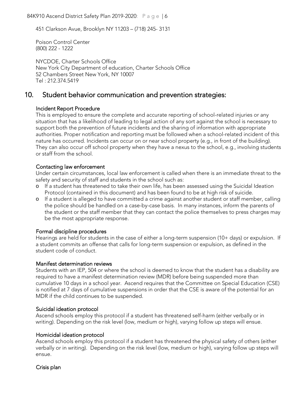84K910 Ascend District Safety Plan 2019-2020: Page | 6

451 Clarkson Avue, Brooklyn NY 11203 – (718) 245- 3131

Poison Control Center (800) 222 - 1222

NYCDOE, Charter Schools Office New York City Department of education, Charter Schools Office 52 Chambers Street New York, NY 10007 Tel : 212.374.5419

#### <span id="page-5-0"></span>10. Student behavior communication and prevention strategies:

#### Incident Report Procedure

This is employed to ensure the complete and accurate reporting of school-related injuries or any situation that has a likelihood of leading to legal action of any sort against the school is necessary to support both the prevention of future incidents and the sharing of information with appropriate authorities. Proper notification and reporting must be followed when a school-related incident of this nature has occurred. Incidents can occur on or near school property (e.g., in front of the building). They can also occur off school property when they have a nexus to the school, e.g., involving students or staff from the school.

#### Contacting law enforcement

Under certain circumstances, local law enforcement is called when there is an immediate threat to the safety and security of staff and students in the school such as:

- o If a student has threatened to take their own life, has been assessed using the Suicidal Ideation Protocol (contained in this document) and has been found to be at high risk of suicide.
- o If a student is alleged to have committed a crime against another student or staff member, calling the police should be handled on a case-by-case basis. In many instances, inform the parents of the student or the staff member that they can contact the police themselves to press charges may be the most appropriate response.

#### Formal discipline procedures

Hearings are held for students in the case of either a long-term suspension (10+ days) or expulsion. If a student commits an offense that calls for long-term suspension or expulsion, as defined in the student code of conduct.

#### Manifest determination reviews

Students with an IEP, 504 or where the school is deemed to know that the student has a disability are required to have a manifest determination review (MDR) before being suspended more than cumulative 10 days in a school year. Ascend requires that the Committee on Special Education (CSE) is notified at 7 days of cumulative suspensions in order that the CSE is aware of the potential for an MDR if the child continues to be suspended.

#### Suicidal ideation protocol

Ascend schools employ this protocol if a student has threatened self-harm (either verbally or in writing). Depending on the risk level (low, medium or high), varying follow up steps will ensue.

#### Homicidal ideation protocol

Ascend schools employ this protocol if a student has threatened the physical safety of others (either verbally or in writing). Depending on the risk level (low, medium or high), varying follow up steps will ensue.

#### Crisis plan